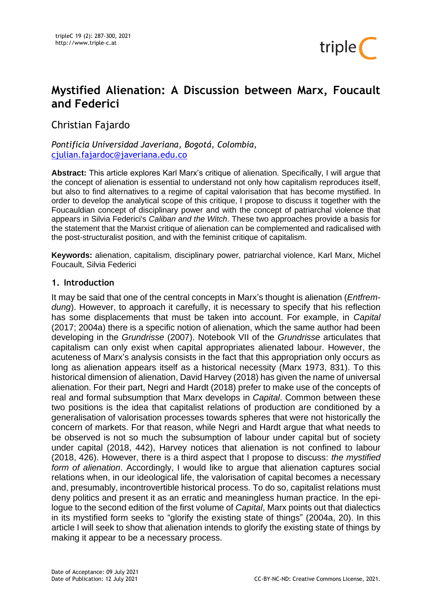

# **Mystified Alienation: A Discussion between Marx, Foucault and Federici**

Christian Fajardo

*Pontificia Universidad Javeriana, Bogotá, Colombia,*  [cjulian.fajardoc@javeriana.edu.co](mailto:cjulian.fajardoc@javeriana.edu.co)

**Abstract:** This article explores Karl Marx's critique of alienation. Specifically, I will argue that the concept of alienation is essential to understand not only how capitalism reproduces itself, but also to find alternatives to a regime of capital valorisation that has become mystified. In order to develop the analytical scope of this critique, I propose to discuss it together with the Foucauldian concept of disciplinary power and with the concept of patriarchal violence that appears in Silvia Federici's *Caliban and the Witch*. These two approaches provide a basis for the statement that the Marxist critique of alienation can be complemented and radicalised with the post-structuralist position, and with the feminist critique of capitalism.

**Keywords:** alienation, capitalism, disciplinary power, patriarchal violence, Karl Marx, Michel Foucault, Silvia Federici

## **1. Introduction**

It may be said that one of the central concepts in Marx's thought is alienation (*Entfremdung*). However, to approach it carefully, it is necessary to specify that his reflection has some displacements that must be taken into account. For example, in *Capital* (2017; 2004a) there is a specific notion of alienation, which the same author had been developing in the *Grundrisse* (2007). Notebook VII of the *Grundrisse* articulates that capitalism can only exist when capital appropriates alienated labour. However, the acuteness of Marx's analysis consists in the fact that this appropriation only occurs as long as alienation appears itself as a historical necessity (Marx 1973, 831). To this historical dimension of alienation, David Harvey (2018) has given the name of universal alienation. For their part, Negri and Hardt (2018) prefer to make use of the concepts of real and formal subsumption that Marx develops in *Capital*. Common between these two positions is the idea that capitalist relations of production are conditioned by a generalisation of valorisation processes towards spheres that were not historically the concern of markets. For that reason, while Negri and Hardt argue that what needs to be observed is not so much the subsumption of labour under capital but of society under capital (2018, 442), Harvey notices that alienation is not confined to labour (2018, 426). However, there is a third aspect that I propose to discuss: *the mystified form of alienation*. Accordingly, I would like to argue that alienation captures social relations when, in our ideological life, the valorisation of capital becomes a necessary and, presumably, incontrovertible historical process. To do so, capitalist relations must deny politics and present it as an erratic and meaningless human practice. In the epilogue to the second edition of the first volume of *Capital*, Marx points out that dialectics in its mystified form seeks to "glorify the existing state of things" (2004a, 20). In this article I will seek to show that alienation intends to glorify the existing state of things by making it appear to be a necessary process.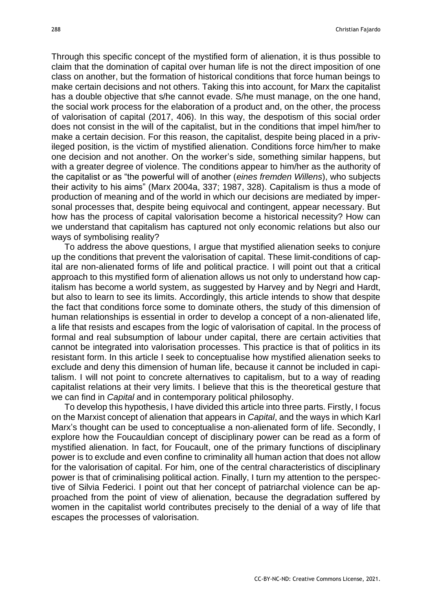Through this specific concept of the mystified form of alienation, it is thus possible to claim that the domination of capital over human life is not the direct imposition of one class on another, but the formation of historical conditions that force human beings to make certain decisions and not others. Taking this into account, for Marx the capitalist has a double objective that s/he cannot evade. S/he must manage, on the one hand, the social work process for the elaboration of a product and, on the other, the process of valorisation of capital (2017, 406). In this way, the despotism of this social order does not consist in the will of the capitalist, but in the conditions that impel him/her to make a certain decision. For this reason, the capitalist, despite being placed in a privileged position, is the victim of mystified alienation. Conditions force him/her to make one decision and not another. On the worker's side, something similar happens, but with a greater degree of violence. The conditions appear to him/her as the authority of the capitalist or as "the powerful will of another (*eines fremden Willens*), who subjects their activity to his aims" (Marx 2004a, 337; 1987, 328). Capitalism is thus a mode of production of meaning and of the world in which our decisions are mediated by impersonal processes that, despite being equivocal and contingent, appear necessary. But how has the process of capital valorisation become a historical necessity? How can we understand that capitalism has captured not only economic relations but also our ways of symbolising reality?

To address the above questions, I argue that mystified alienation seeks to conjure up the conditions that prevent the valorisation of capital. These limit-conditions of capital are non-alienated forms of life and political practice. I will point out that a critical approach to this mystified form of alienation allows us not only to understand how capitalism has become a world system, as suggested by Harvey and by Negri and Hardt, but also to learn to see its limits. Accordingly, this article intends to show that despite the fact that conditions force some to dominate others, the study of this dimension of human relationships is essential in order to develop a concept of a non-alienated life, a life that resists and escapes from the logic of valorisation of capital. In the process of formal and real subsumption of labour under capital, there are certain activities that cannot be integrated into valorisation processes. This practice is that of politics in its resistant form. In this article I seek to conceptualise how mystified alienation seeks to exclude and deny this dimension of human life, because it cannot be included in capitalism. I will not point to concrete alternatives to capitalism, but to a way of reading capitalist relations at their very limits. I believe that this is the theoretical gesture that we can find in *Capital* and in contemporary political philosophy.

To develop this hypothesis, I have divided this article into three parts. Firstly, I focus on the Marxist concept of alienation that appears in *Capital*, and the ways in which Karl Marx's thought can be used to conceptualise a non-alienated form of life. Secondly, I explore how the Foucauldian concept of disciplinary power can be read as a form of mystified alienation. In fact, for Foucault, one of the primary functions of disciplinary power is to exclude and even confine to criminality all human action that does not allow for the valorisation of capital. For him, one of the central characteristics of disciplinary power is that of criminalising political action. Finally, I turn my attention to the perspective of Silvia Federici. I point out that her concept of patriarchal violence can be approached from the point of view of alienation, because the degradation suffered by women in the capitalist world contributes precisely to the denial of a way of life that escapes the processes of valorisation.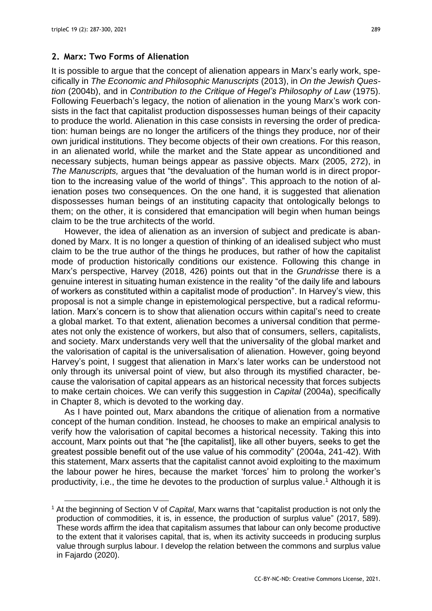#### **2. Marx: Two Forms of Alienation**

It is possible to argue that the concept of alienation appears in Marx's early work, specifically in *The Economic and Philosophic Manuscripts* (2013), in *On the Jewish Question* (2004b), and in *Contribution to the Critique of Hegel's Philosophy of Law* (1975). Following Feuerbach's legacy, the notion of alienation in the young Marx's work consists in the fact that capitalist production dispossesses human beings of their capacity to produce the world. Alienation in this case consists in reversing the order of predication: human beings are no longer the artificers of the things they produce, nor of their own juridical institutions. They become objects of their own creations. For this reason, in an alienated world, while the market and the State appear as unconditioned and necessary subjects, human beings appear as passive objects. Marx (2005, 272), in *The Manuscripts,* argues that "the devaluation of the human world is in direct proportion to the increasing value of the world of things". This approach to the notion of alienation poses two consequences. On the one hand, it is suggested that alienation dispossesses human beings of an instituting capacity that ontologically belongs to them; on the other, it is considered that emancipation will begin when human beings claim to be the true architects of the world.

However, the idea of alienation as an inversion of subject and predicate is abandoned by Marx. It is no longer a question of thinking of an idealised subject who must claim to be the true author of the things he produces, but rather of how the capitalist mode of production historically conditions our existence. Following this change in Marx's perspective, Harvey (2018, 426) points out that in the *Grundrisse* there is a genuine interest in situating human existence in the reality "of the daily life and labours of workers as constituted within a capitalist mode of production". In Harvey's view, this proposal is not a simple change in epistemological perspective, but a radical reformulation. Marx's concern is to show that alienation occurs within capital's need to create a global market. To that extent, alienation becomes a universal condition that permeates not only the existence of workers, but also that of consumers, sellers, capitalists, and society. Marx understands very well that the universality of the global market and the valorisation of capital is the universalisation of alienation. However, going beyond Harvey's point, I suggest that alienation in Marx's later works can be understood not only through its universal point of view, but also through its mystified character, because the valorisation of capital appears as an historical necessity that forces subjects to make certain choices. We can verify this suggestion in *Capital* (2004a), specifically in Chapter 8, which is devoted to the working day.

As I have pointed out, Marx abandons the critique of alienation from a normative concept of the human condition. Instead, he chooses to make an empirical analysis to verify how the valorisation of capital becomes a historical necessity. Taking this into account, Marx points out that "he [the capitalist], like all other buyers, seeks to get the greatest possible benefit out of the use value of his commodity" (2004a, 241-42). With this statement, Marx asserts that the capitalist cannot avoid exploiting to the maximum the labour power he hires, because the market 'forces' him to prolong the worker's productivity, i.e., the time he devotes to the production of surplus value. <sup>1</sup> Although it is

<sup>1</sup> At the beginning of Section V of *Capital*, Marx warns that "capitalist production is not only the production of commodities, it is, in essence, the production of surplus value" (2017, 589). These words affirm the idea that capitalism assumes that labour can only become productive to the extent that it valorises capital, that is, when its activity succeeds in producing surplus value through surplus labour. I develop the relation between the commons and surplus value in Fajardo (2020).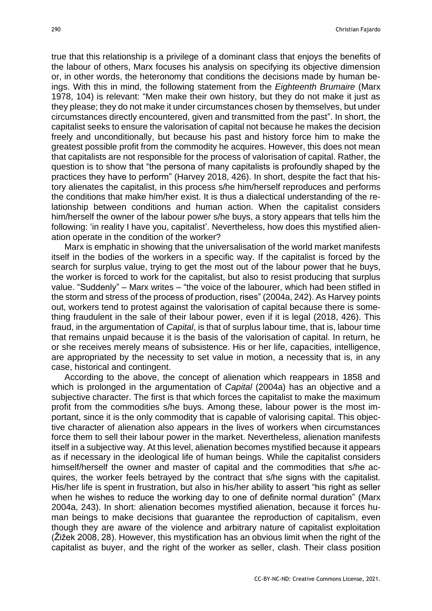true that this relationship is a privilege of a dominant class that enjoys the benefits of the labour of others, Marx focuses his analysis on specifying its objective dimension or, in other words, the heteronomy that conditions the decisions made by human beings. With this in mind, the following statement from the *Eighteenth Brumaire* (Marx 1978, 104) is relevant: "Men make their own history, but they do not make it just as they please; they do not make it under circumstances chosen by themselves, but under circumstances directly encountered, given and transmitted from the past". In short, the capitalist seeks to ensure the valorisation of capital not because he makes the decision freely and unconditionally, but because his past and history force him to make the greatest possible profit from the commodity he acquires. However, this does not mean that capitalists are not responsible for the process of valorisation of capital. Rather, the question is to show that "the persona of many capitalists is profoundly shaped by the practices they have to perform" (Harvey 2018, 426). In short, despite the fact that history alienates the capitalist, in this process s/he him/herself reproduces and performs the conditions that make him/her exist. It is thus a dialectical understanding of the relationship between conditions and human action. When the capitalist considers him/herself the owner of the labour power s/he buys, a story appears that tells him the following: 'in reality I have you, capitalist'. Nevertheless, how does this mystified alienation operate in the condition of the worker?

Marx is emphatic in showing that the universalisation of the world market manifests itself in the bodies of the workers in a specific way. If the capitalist is forced by the search for surplus value, trying to get the most out of the labour power that he buys, the worker is forced to work for the capitalist, but also to resist producing that surplus value. "Suddenly" – Marx writes – "the voice of the labourer, which had been stifled in the storm and stress of the process of production, rises" (2004a, 242). As Harvey points out, workers tend to protest against the valorisation of capital because there is something fraudulent in the sale of their labour power, even if it is legal (2018, 426). This fraud, in the argumentation of *Capital*, is that of surplus labour time, that is, labour time that remains unpaid because it is the basis of the valorisation of capital. In return, he or she receives merely means of subsistence. His or her life, capacities, intelligence, are appropriated by the necessity to set value in motion, a necessity that is, in any case, historical and contingent.

According to the above, the concept of alienation which reappears in 1858 and which is prolonged in the argumentation of *Capital* (2004a) has an objective and a subjective character. The first is that which forces the capitalist to make the maximum profit from the commodities s/he buys. Among these, labour power is the most important, since it is the only commodity that is capable of valorising capital. This objective character of alienation also appears in the lives of workers when circumstances force them to sell their labour power in the market. Nevertheless, alienation manifests itself in a subjective way. At this level, alienation becomes mystified because it appears as if necessary in the ideological life of human beings. While the capitalist considers himself/herself the owner and master of capital and the commodities that s/he acquires, the worker feels betrayed by the contract that s/he signs with the capitalist. His/her life is spent in frustration, but also in his/her ability to assert "his right as seller when he wishes to reduce the working day to one of definite normal duration" (Marx 2004a, 243). In short: alienation becomes mystified alienation, because it forces human beings to make decisions that guarantee the reproduction of capitalism, even though they are aware of the violence and arbitrary nature of capitalist exploitation (Žižek 2008, 28). However, this mystification has an obvious limit when the right of the capitalist as buyer, and the right of the worker as seller, clash. Their class position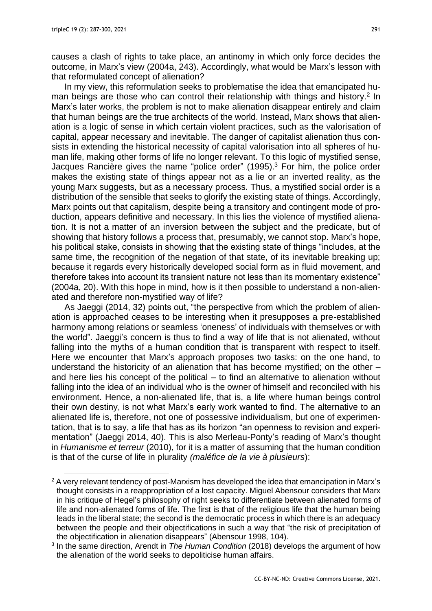causes a clash of rights to take place, an antinomy in which only force decides the outcome, in Marx's view (2004a, 243). Accordingly, what would be Marx's lesson with that reformulated concept of alienation?

In my view, this reformulation seeks to problematise the idea that emancipated human beings are those who can control their relationship with things and history.<sup>2</sup> In Marx's later works, the problem is not to make alienation disappear entirely and claim that human beings are the true architects of the world. Instead, Marx shows that alienation is a logic of sense in which certain violent practices, such as the valorisation of capital, appear necessary and inevitable. The danger of capitalist alienation thus consists in extending the historical necessity of capital valorisation into all spheres of human life, making other forms of life no longer relevant. To this logic of mystified sense, Jacques Rancière gives the name "police order" (1995). <sup>3</sup> For him, the police order makes the existing state of things appear not as a lie or an inverted reality, as the young Marx suggests, but as a necessary process. Thus, a mystified social order is a distribution of the sensible that seeks to glorify the existing state of things. Accordingly, Marx points out that capitalism, despite being a transitory and contingent mode of production, appears definitive and necessary. In this lies the violence of mystified alienation. It is not a matter of an inversion between the subject and the predicate, but of showing that history follows a process that, presumably, we cannot stop. Marx's hope, his political stake, consists in showing that the existing state of things "includes, at the same time, the recognition of the negation of that state, of its inevitable breaking up; because it regards every historically developed social form as in fluid movement, and therefore takes into account its transient nature not less than its momentary existence" (2004a, 20). With this hope in mind, how is it then possible to understand a non-alienated and therefore non-mystified way of life?

As Jaeggi (2014, 32) points out, "the perspective from which the problem of alienation is approached ceases to be interesting when it presupposes a pre-established harmony among relations or seamless 'oneness' of individuals with themselves or with the world". Jaeggi's concern is thus to find a way of life that is not alienated, without falling into the myths of a human condition that is transparent with respect to itself. Here we encounter that Marx's approach proposes two tasks: on the one hand, to understand the historicity of an alienation that has become mystified; on the other – and here lies his concept of the political – to find an alternative to alienation without falling into the idea of an individual who is the owner of himself and reconciled with his environment. Hence, a non-alienated life, that is, a life where human beings control their own destiny, is not what Marx's early work wanted to find. The alternative to an alienated life is, therefore, not one of possessive individualism, but one of experimentation, that is to say, a life that has as its horizon "an openness to revision and experimentation" (Jaeggi 2014, 40). This is also Merleau-Ponty's reading of Marx's thought in *Humanisme et terreur* (2010), for it is a matter of assuming that the human condition is that of the curse of life in plurality *(maléfice de la vie à plusieurs*):

 $2$  A very relevant tendency of post-Marxism has developed the idea that emancipation in Marx's thought consists in a reappropriation of a lost capacity. Miguel Abensour considers that Marx in his critique of Hegel's philosophy of right seeks to differentiate between alienated forms of life and non-alienated forms of life. The first is that of the religious life that the human being leads in the liberal state; the second is the democratic process in which there is an adequacy between the people and their objectifications in such a way that "the risk of precipitation of the objectification in alienation disappears" (Abensour 1998, 104).

<sup>3</sup> In the same direction, Arendt in *The Human Condition* (2018) develops the argument of how the alienation of the world seeks to depoliticise human affairs.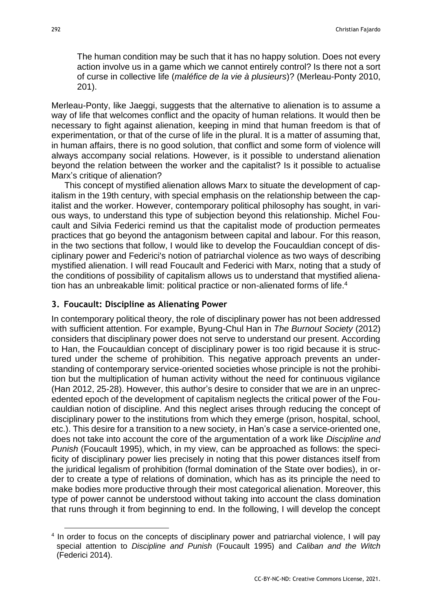The human condition may be such that it has no happy solution. Does not every action involve us in a game which we cannot entirely control? Is there not a sort of curse in collective life (*maléfice de la vie à plusieurs*)? (Merleau-Ponty 2010, 201).

Merleau-Ponty, like Jaeggi, suggests that the alternative to alienation is to assume a way of life that welcomes conflict and the opacity of human relations. It would then be necessary to fight against alienation, keeping in mind that human freedom is that of experimentation, or that of the curse of life in the plural. It is a matter of assuming that, in human affairs, there is no good solution, that conflict and some form of violence will always accompany social relations. However, is it possible to understand alienation beyond the relation between the worker and the capitalist? Is it possible to actualise Marx's critique of alienation?

This concept of mystified alienation allows Marx to situate the development of capitalism in the 19th century, with special emphasis on the relationship between the capitalist and the worker. However, contemporary political philosophy has sought, in various ways, to understand this type of subjection beyond this relationship. Michel Foucault and Silvia Federici remind us that the capitalist mode of production permeates practices that go beyond the antagonism between capital and labour. For this reason, in the two sections that follow, I would like to develop the Foucauldian concept of disciplinary power and Federici's notion of patriarchal violence as two ways of describing mystified alienation. I will read Foucault and Federici with Marx, noting that a study of the conditions of possibility of capitalism allows us to understand that mystified alienation has an unbreakable limit: political practice or non-alienated forms of life. 4

## **3. Foucault: Discipline as Alienating Power**

In contemporary political theory, the role of disciplinary power has not been addressed with sufficient attention. For example, Byung-Chul Han in *The Burnout Society* (2012) considers that disciplinary power does not serve to understand our present. According to Han, the Foucauldian concept of disciplinary power is too rigid because it is structured under the scheme of prohibition. This negative approach prevents an understanding of contemporary service-oriented societies whose principle is not the prohibition but the multiplication of human activity without the need for continuous vigilance (Han 2012, 25-28). However, this author's desire to consider that we are in an unprecedented epoch of the development of capitalism neglects the critical power of the Foucauldian notion of discipline. And this neglect arises through reducing the concept of disciplinary power to the institutions from which they emerge (prison, hospital, school, etc.). This desire for a transition to a new society, in Han's case a service-oriented one, does not take into account the core of the argumentation of a work like *Discipline and Punish* (Foucault 1995), which, in my view, can be approached as follows: the specificity of disciplinary power lies precisely in noting that this power distances itself from the juridical legalism of prohibition (formal domination of the State over bodies), in order to create a type of relations of domination, which has as its principle the need to make bodies more productive through their most categorical alienation. Moreover, this type of power cannot be understood without taking into account the class domination that runs through it from beginning to end. In the following, I will develop the concept

<sup>&</sup>lt;sup>4</sup> In order to focus on the concepts of disciplinary power and patriarchal violence, I will pay special attention to *Discipline and Punish* (Foucault 1995) and *Caliban and the Witch*  (Federici 2014).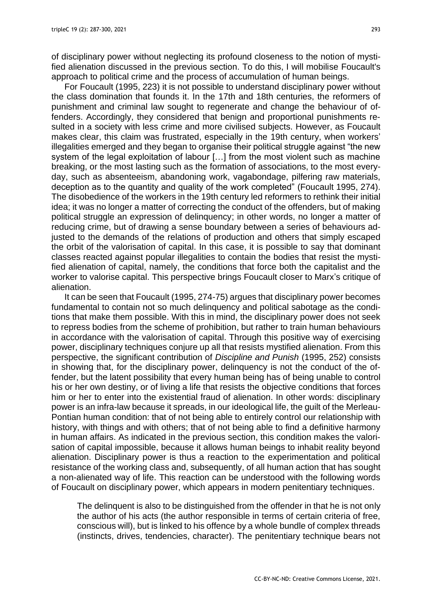of disciplinary power without neglecting its profound closeness to the notion of mystified alienation discussed in the previous section. To do this, I will mobilise Foucault's approach to political crime and the process of accumulation of human beings.

For Foucault (1995, 223) it is not possible to understand disciplinary power without the class domination that founds it. In the 17th and 18th centuries, the reformers of punishment and criminal law sought to regenerate and change the behaviour of offenders. Accordingly, they considered that benign and proportional punishments resulted in a society with less crime and more civilised subjects. However, as Foucault makes clear, this claim was frustrated, especially in the 19th century, when workers' illegalities emerged and they began to organise their political struggle against "the new system of the legal exploitation of labour […] from the most violent such as machine breaking, or the most lasting such as the formation of associations, to the most everyday, such as absenteeism, abandoning work, vagabondage, pilfering raw materials, deception as to the quantity and quality of the work completed" (Foucault 1995, 274). The disobedience of the workers in the 19th century led reformers to rethink their initial idea; it was no longer a matter of correcting the conduct of the offenders, but of making political struggle an expression of delinquency; in other words, no longer a matter of reducing crime, but of drawing a sense boundary between a series of behaviours adjusted to the demands of the relations of production and others that simply escaped the orbit of the valorisation of capital. In this case, it is possible to say that dominant classes reacted against popular illegalities to contain the bodies that resist the mystified alienation of capital, namely, the conditions that force both the capitalist and the worker to valorise capital. This perspective brings Foucault closer to Marx's critique of alienation.

It can be seen that Foucault (1995, 274-75) argues that disciplinary power becomes fundamental to contain not so much delinquency and political sabotage as the conditions that make them possible. With this in mind, the disciplinary power does not seek to repress bodies from the scheme of prohibition, but rather to train human behaviours in accordance with the valorisation of capital. Through this positive way of exercising power, disciplinary techniques conjure up all that resists mystified alienation. From this perspective, the significant contribution of *Discipline and Punish* (1995, 252) consists in showing that, for the disciplinary power, delinquency is not the conduct of the offender, but the latent possibility that every human being has of being unable to control his or her own destiny, or of living a life that resists the objective conditions that forces him or her to enter into the existential fraud of alienation. In other words: disciplinary power is an infra-law because it spreads, in our ideological life, the guilt of the Merleau-Pontian human condition: that of not being able to entirely control our relationship with history, with things and with others; that of not being able to find a definitive harmony in human affairs. As indicated in the previous section, this condition makes the valorisation of capital impossible, because it allows human beings to inhabit reality beyond alienation. Disciplinary power is thus a reaction to the experimentation and political resistance of the working class and, subsequently, of all human action that has sought a non-alienated way of life. This reaction can be understood with the following words of Foucault on disciplinary power, which appears in modern penitentiary techniques.

The delinquent is also to be distinguished from the offender in that he is not only the author of his acts (the author responsible in terms of certain criteria of free, conscious will), but is linked to his offence by a whole bundle of complex threads (instincts, drives, tendencies, character). The penitentiary technique bears not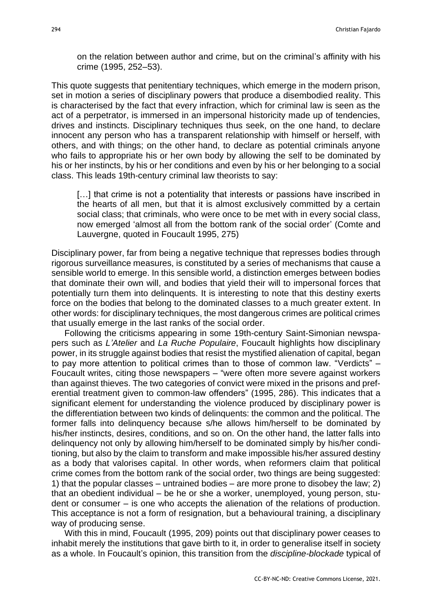on the relation between author and crime, but on the criminal's affinity with his crime (1995, 252–53).

This quote suggests that penitentiary techniques, which emerge in the modern prison, set in motion a series of disciplinary powers that produce a disembodied reality. This is characterised by the fact that every infraction, which for criminal law is seen as the act of a perpetrator, is immersed in an impersonal historicity made up of tendencies, drives and instincts. Disciplinary techniques thus seek, on the one hand, to declare innocent any person who has a transparent relationship with himself or herself, with others, and with things; on the other hand, to declare as potential criminals anyone who fails to appropriate his or her own body by allowing the self to be dominated by his or her instincts, by his or her conditions and even by his or her belonging to a social class. This leads 19th-century criminal law theorists to say:

[...] that crime is not a potentiality that interests or passions have inscribed in the hearts of all men, but that it is almost exclusively committed by a certain social class; that criminals, who were once to be met with in every social class, now emerged 'almost all from the bottom rank of the social order' (Comte and Lauvergne, quoted in Foucault 1995, 275)

Disciplinary power, far from being a negative technique that represses bodies through rigorous surveillance measures, is constituted by a series of mechanisms that cause a sensible world to emerge. In this sensible world, a distinction emerges between bodies that dominate their own will, and bodies that yield their will to impersonal forces that potentially turn them into delinquents. It is interesting to note that this destiny exerts force on the bodies that belong to the dominated classes to a much greater extent. In other words: for disciplinary techniques, the most dangerous crimes are political crimes that usually emerge in the last ranks of the social order.

Following the criticisms appearing in some 19th-century Saint-Simonian newspapers such as *L'Atelier* and *La Ruche Populaire*, Foucault highlights how disciplinary power, in its struggle against bodies that resist the mystified alienation of capital, began to pay more attention to political crimes than to those of common law. "Verdicts" – Foucault writes, citing those newspapers – "were often more severe against workers than against thieves. The two categories of convict were mixed in the prisons and preferential treatment given to common-law offenders" (1995, 286). This indicates that a significant element for understanding the violence produced by disciplinary power is the differentiation between two kinds of delinquents: the common and the political. The former falls into delinquency because s/he allows him/herself to be dominated by his/her instincts, desires, conditions, and so on. On the other hand, the latter falls into delinquency not only by allowing him/herself to be dominated simply by his/her conditioning, but also by the claim to transform and make impossible his/her assured destiny as a body that valorises capital. In other words, when reformers claim that political crime comes from the bottom rank of the social order, two things are being suggested: 1) that the popular classes – untrained bodies – are more prone to disobey the law; 2) that an obedient individual – be he or she a worker, unemployed, young person, student or consumer – is one who accepts the alienation of the relations of production. This acceptance is not a form of resignation, but a behavioural training, a disciplinary way of producing sense.

With this in mind, Foucault (1995, 209) points out that disciplinary power ceases to inhabit merely the institutions that gave birth to it, in order to generalise itself in society as a whole. In Foucault's opinion, this transition from the *discipline-blockade* typical of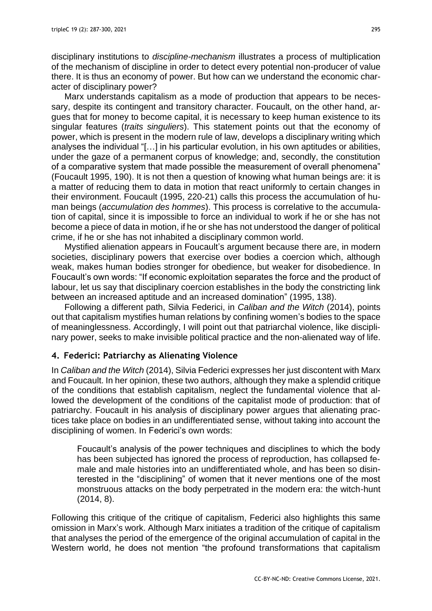disciplinary institutions to *discipline-mechanism* illustrates a process of multiplication of the mechanism of discipline in order to detect every potential non-producer of value there. It is thus an economy of power. But how can we understand the economic character of disciplinary power?

Marx understands capitalism as a mode of production that appears to be necessary, despite its contingent and transitory character. Foucault, on the other hand, argues that for money to become capital, it is necessary to keep human existence to its singular features (*traits singuliers*). This statement points out that the economy of power, which is present in the modern rule of law, develops a disciplinary writing which analyses the individual "[…] in his particular evolution, in his own aptitudes or abilities, under the gaze of a permanent corpus of knowledge; and, secondly, the constitution of a comparative system that made possible the measurement of overall phenomena" (Foucault 1995, 190). It is not then a question of knowing what human beings are: it is a matter of reducing them to data in motion that react uniformly to certain changes in their environment. Foucault (1995, 220-21) calls this process the accumulation of human beings (*accumulation des hommes*). This process is correlative to the accumulation of capital, since it is impossible to force an individual to work if he or she has not become a piece of data in motion, if he or she has not understood the danger of political crime, if he or she has not inhabited a disciplinary common world.

Mystified alienation appears in Foucault's argument because there are, in modern societies, disciplinary powers that exercise over bodies a coercion which, although weak, makes human bodies stronger for obedience, but weaker for disobedience. In Foucault's own words: "If economic exploitation separates the force and the product of labour, let us say that disciplinary coercion establishes in the body the constricting link between an increased aptitude and an increased domination" (1995, 138).

Following a different path, Silvia Federici, in *Caliban and the Witch* (2014), points out that capitalism mystifies human relations by confining women's bodies to the space of meaninglessness. Accordingly, I will point out that patriarchal violence, like disciplinary power, seeks to make invisible political practice and the non-alienated way of life.

#### **4. Federici: Patriarchy as Alienating Violence**

In *Caliban and the Witch* (2014), Silvia Federici expresses her just discontent with Marx and Foucault. In her opinion, these two authors, although they make a splendid critique of the conditions that establish capitalism, neglect the fundamental violence that allowed the development of the conditions of the capitalist mode of production: that of patriarchy. Foucault in his analysis of disciplinary power argues that alienating practices take place on bodies in an undifferentiated sense, without taking into account the disciplining of women. In Federici's own words:

Foucault's analysis of the power techniques and disciplines to which the body has been subjected has ignored the process of reproduction, has collapsed female and male histories into an undifferentiated whole, and has been so disinterested in the "disciplining" of women that it never mentions one of the most monstruous attacks on the body perpetrated in the modern era: the witch-hunt (2014, 8).

Following this critique of the critique of capitalism, Federici also highlights this same omission in Marx's work. Although Marx initiates a tradition of the critique of capitalism that analyses the period of the emergence of the original accumulation of capital in the Western world, he does not mention "the profound transformations that capitalism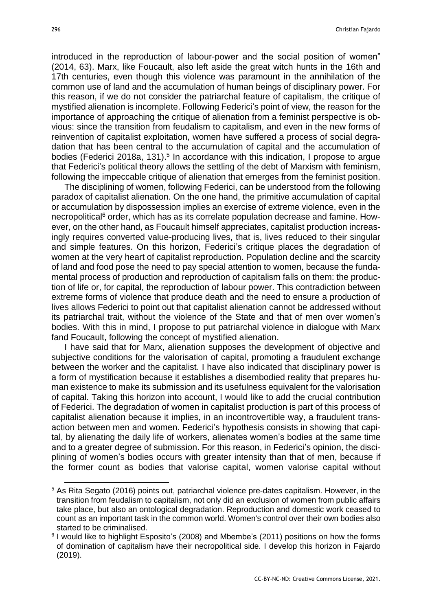introduced in the reproduction of labour-power and the social position of women" (2014, 63). Marx, like Foucault, also left aside the great witch hunts in the 16th and 17th centuries, even though this violence was paramount in the annihilation of the common use of land and the accumulation of human beings of disciplinary power. For this reason, if we do not consider the patriarchal feature of capitalism, the critique of mystified alienation is incomplete. Following Federici's point of view, the reason for the importance of approaching the critique of alienation from a feminist perspective is obvious: since the transition from feudalism to capitalism, and even in the new forms of reinvention of capitalist exploitation, women have suffered a process of social degradation that has been central to the accumulation of capital and the accumulation of bodies (Federici 2018a, 131).<sup>5</sup> In accordance with this indication, I propose to argue that Federici's political theory allows the settling of the debt of Marxism with feminism, following the impeccable critique of alienation that emerges from the feminist position.

The disciplining of women, following Federici, can be understood from the following paradox of capitalist alienation. On the one hand, the primitive accumulation of capital or accumulation by dispossession implies an exercise of extreme violence, even in the necropolitical<sup>6</sup> order, which has as its correlate population decrease and famine. However, on the other hand, as Foucault himself appreciates, capitalist production increasingly requires converted value-producing lives, that is, lives reduced to their singular and simple features. On this horizon, Federici's critique places the degradation of women at the very heart of capitalist reproduction. Population decline and the scarcity of land and food pose the need to pay special attention to women, because the fundamental process of production and reproduction of capitalism falls on them: the production of life or, for capital, the reproduction of labour power. This contradiction between extreme forms of violence that produce death and the need to ensure a production of lives allows Federici to point out that capitalist alienation cannot be addressed without its patriarchal trait, without the violence of the State and that of men over women's bodies. With this in mind, I propose to put patriarchal violence in dialogue with Marx fand Foucault, following the concept of mystified alienation.

I have said that for Marx, alienation supposes the development of objective and subjective conditions for the valorisation of capital, promoting a fraudulent exchange between the worker and the capitalist. I have also indicated that disciplinary power is a form of mystification because it establishes a disembodied reality that prepares human existence to make its submission and its usefulness equivalent for the valorisation of capital. Taking this horizon into account, I would like to add the crucial contribution of Federici. The degradation of women in capitalist production is part of this process of capitalist alienation because it implies, in an incontrovertible way, a fraudulent transaction between men and women. Federici's hypothesis consists in showing that capital, by alienating the daily life of workers, alienates women's bodies at the same time and to a greater degree of submission. For this reason, in Federici's opinion, the disciplining of women's bodies occurs with greater intensity than that of men, because if the former count as bodies that valorise capital, women valorise capital without

<sup>5</sup> As Rita Segato (2016) points out, patriarchal violence pre-dates capitalism. However, in the transition from feudalism to capitalism, not only did an exclusion of women from public affairs take place, but also an ontological degradation. Reproduction and domestic work ceased to count as an important task in the common world. Women's control over their own bodies also started to be criminalised.

<sup>&</sup>lt;sup>6</sup> I would like to highlight Esposito's (2008) and Mbembe's (2011) positions on how the forms of domination of capitalism have their necropolitical side. I develop this horizon in Fajardo (2019).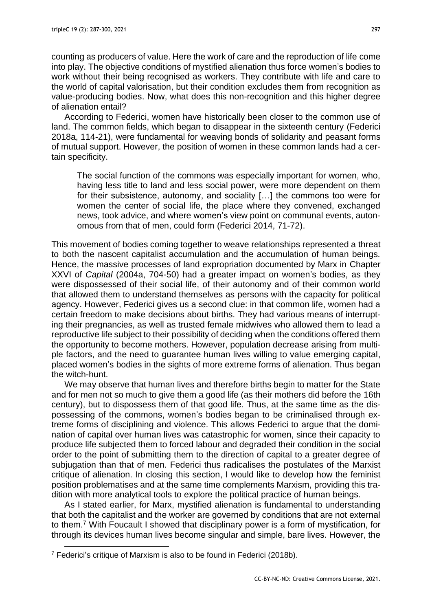counting as producers of value. Here the work of care and the reproduction of life come into play. The objective conditions of mystified alienation thus force women's bodies to work without their being recognised as workers. They contribute with life and care to the world of capital valorisation, but their condition excludes them from recognition as value-producing bodies. Now, what does this non-recognition and this higher degree of alienation entail?

According to Federici, women have historically been closer to the common use of land. The common fields, which began to disappear in the sixteenth century (Federici 2018a, 114-21), were fundamental for weaving bonds of solidarity and peasant forms of mutual support. However, the position of women in these common lands had a certain specificity.

The social function of the commons was especially important for women, who, having less title to land and less social power, were more dependent on them for their subsistence, autonomy, and sociality […] the commons too were for women the center of social life, the place where they convened, exchanged news, took advice, and where women's view point on communal events, autonomous from that of men, could form (Federici 2014, 71-72).

This movement of bodies coming together to weave relationships represented a threat to both the nascent capitalist accumulation and the accumulation of human beings. Hence, the massive processes of land expropriation documented by Marx in Chapter XXVI of *Capital* (2004a, 704-50) had a greater impact on women's bodies, as they were dispossessed of their social life, of their autonomy and of their common world that allowed them to understand themselves as persons with the capacity for political agency. However, Federici gives us a second clue: in that common life, women had a certain freedom to make decisions about births. They had various means of interrupting their pregnancies, as well as trusted female midwives who allowed them to lead a reproductive life subject to their possibility of deciding when the conditions offered them the opportunity to become mothers. However, population decrease arising from multiple factors, and the need to guarantee human lives willing to value emerging capital, placed women's bodies in the sights of more extreme forms of alienation. Thus began the witch-hunt.

We may observe that human lives and therefore births begin to matter for the State and for men not so much to give them a good life (as their mothers did before the 16th century), but to dispossess them of that good life. Thus, at the same time as the dispossessing of the commons, women's bodies began to be criminalised through extreme forms of disciplining and violence. This allows Federici to argue that the domination of capital over human lives was catastrophic for women, since their capacity to produce life subjected them to forced labour and degraded their condition in the social order to the point of submitting them to the direction of capital to a greater degree of subjugation than that of men. Federici thus radicalises the postulates of the Marxist critique of alienation. In closing this section, I would like to develop how the feminist position problematises and at the same time complements Marxism, providing this tradition with more analytical tools to explore the political practice of human beings.

As I stated earlier, for Marx, mystified alienation is fundamental to understanding that both the capitalist and the worker are governed by conditions that are not external to them.<sup>7</sup> With Foucault I showed that disciplinary power is a form of mystification, for through its devices human lives become singular and simple, bare lives. However, the

<sup>&</sup>lt;sup>7</sup> Federici's critique of Marxism is also to be found in Federici (2018b).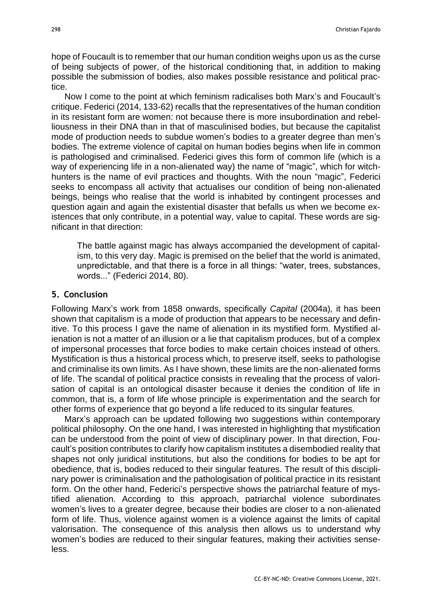hope of Foucault is to remember that our human condition weighs upon us as the curse of being subjects of power, of the historical conditioning that, in addition to making possible the submission of bodies, also makes possible resistance and political practice.

Now I come to the point at which feminism radicalises both Marx's and Foucault's critique. Federici (2014, 133-62) recalls that the representatives of the human condition in its resistant form are women: not because there is more insubordination and rebelliousness in their DNA than in that of masculinised bodies, but because the capitalist mode of production needs to subdue women's bodies to a greater degree than men's bodies. The extreme violence of capital on human bodies begins when life in common is pathologised and criminalised. Federici gives this form of common life (which is a way of experiencing life in a non-alienated way) the name of "magic", which for witchhunters is the name of evil practices and thoughts. With the noun "magic", Federici seeks to encompass all activity that actualises our condition of being non-alienated beings, beings who realise that the world is inhabited by contingent processes and question again and again the existential disaster that befalls us when we become existences that only contribute, in a potential way, value to capital. These words are significant in that direction:

The battle against magic has always accompanied the development of capitalism, to this very day. Magic is premised on the belief that the world is animated, unpredictable, and that there is a force in all things: "water, trees, substances, words..." (Federici 2014, 80).

### **5. Conclusion**

Following Marx's work from 1858 onwards, specifically *Capital* (2004a)*,* it has been shown that capitalism is a mode of production that appears to be necessary and definitive. To this process I gave the name of alienation in its mystified form. Mystified alienation is not a matter of an illusion or a lie that capitalism produces, but of a complex of impersonal processes that force bodies to make certain choices instead of others. Mystification is thus a historical process which, to preserve itself, seeks to pathologise and criminalise its own limits. As I have shown, these limits are the non-alienated forms of life. The scandal of political practice consists in revealing that the process of valorisation of capital is an ontological disaster because it denies the condition of life in common, that is, a form of life whose principle is experimentation and the search for other forms of experience that go beyond a life reduced to its singular features.

Marx's approach can be updated following two suggestions within contemporary political philosophy. On the one hand, I was interested in highlighting that mystification can be understood from the point of view of disciplinary power. In that direction, Foucault's position contributes to clarify how capitalism institutes a disembodied reality that shapes not only juridical institutions, but also the conditions for bodies to be apt for obedience, that is, bodies reduced to their singular features. The result of this disciplinary power is criminalisation and the pathologisation of political practice in its resistant form. On the other hand, Federici's perspective shows the patriarchal feature of mystified alienation. According to this approach, patriarchal violence subordinates women's lives to a greater degree, because their bodies are closer to a non-alienated form of life. Thus, violence against women is a violence against the limits of capital valorisation. The consequence of this analysis then allows us to understand why women's bodies are reduced to their singular features, making their activities senseless.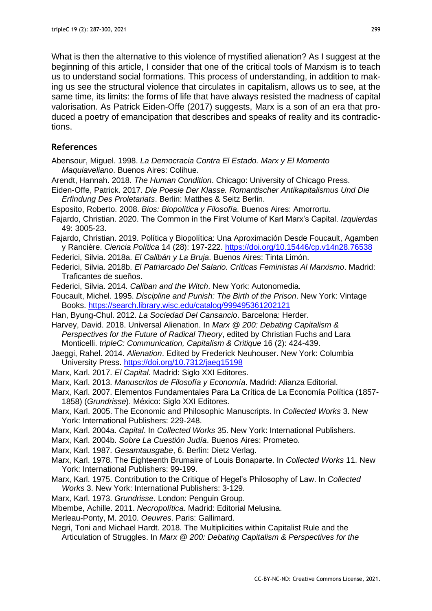What is then the alternative to this violence of mystified alienation? As I suggest at the beginning of this article, I consider that one of the critical tools of Marxism is to teach us to understand social formations. This process of understanding, in addition to making us see the structural violence that circulates in capitalism, allows us to see, at the same time, its limits: the forms of life that have always resisted the madness of capital valorisation. As Patrick Eiden-Offe (2017) suggests, Marx is a son of an era that produced a poetry of emancipation that describes and speaks of reality and its contradictions.

# **References**

- Abensour, Miguel. 1998. *La Democracia Contra El Estado. Marx y El Momento Maquiaveliano*. Buenos Aires: Colihue.
- Arendt, Hannah. 2018. *The Human Condition*. Chicago: University of Chicago Press.
- Eiden-Offe, Patrick. 2017. *Die Poesie Der Klasse. Romantischer Antikapitalismus Und Die Erfindung Des Proletariats*. Berlin: Matthes & Seitz Berlin.
- Esposito, Roberto. 2008. *Bios: Biopolítica y Filosofía*. Buenos Aires: Amorrortu.
- Fajardo, Christian. 2020. The Common in the First Volume of Karl Marx's Capital. *Izquierdas* 49: 3005-23.
- Fajardo, Christian. 2019. Política y Biopolítica: Una Aproximación Desde Foucault, Agamben y Rancière. *Ciencia Política* 14 (28): 197-222.<https://doi.org/10.15446/cp.v14n28.76538>
- Federici, Silvia. 2018a. *El Calibán y La Bruja*. Buenos Aires: Tinta Limón.
- Federici, Silvia. 2018b. *El Patriarcado Del Salario. Críticas Feministas Al Marxismo*. Madrid: Traficantes de sueños.
- Federici, Silvia. 2014. *Caliban and the Witch*. New York: Autonomedia.
- Foucault, Michel. 1995. *Discipline and Punish: The Birth of the Prison*. New York: Vintage Books.<https://search.library.wisc.edu/catalog/999495361202121>
- Han, Byung-Chul. 2012. *La Sociedad Del Cansancio*. Barcelona: Herder.
- Harvey, David. 2018. Universal Alienation. In *Marx @ 200: Debating Capitalism & Perspectives for the Future of Radical Theory*, edited by Christian Fuchs and Lara Monticelli. *tripleC: Communication, Capitalism & Critique* 16 (2): 424-439.
- Jaeggi, Rahel. 2014. *Alienation*. Edited by Frederick Neuhouser. New York: Columbia University Press.<https://doi.org/10.7312/jaeg15198>
- Marx, Karl. 2017. *El Capital*. Madrid: Siglo XXI Editores.
- Marx, Karl. 2013. *Manuscritos de Filosofía y Economía*. Madrid: Alianza Editorial.
- Marx, Karl. 2007. Elementos Fundamentales Para La Crítica de La Economía Política (1857- 1858) (*Grundrisse*). México: Siglo XXI Editores.
- Marx, Karl. 2005. The Economic and Philosophic Manuscripts. In *Collected Works* 3. New York: International Publishers: 229-248.
- Marx, Karl. 2004a. *Capital*. In *Collected Works* 35. New York: International Publishers.
- Marx, Karl. 2004b. *Sobre La Cuestión Judía*. Buenos Aires: Prometeo.
- Marx, Karl. 1987. *Gesamtausgabe*, 6. Berlin: Dietz Verlag.
- Marx, Karl. 1978. The Eighteenth Brumaire of Louis Bonaparte. In *Collected Works* 11. New York: International Publishers: 99-199.
- Marx, Karl. 1975. Contribution to the Critique of Hegel's Philosophy of Law. In *Collected Works* 3. New York: International Publishers: 3-129.
- Marx, Karl. 1973. *Grundrisse*. London: Penguin Group.
- Mbembe, Achille. 2011. *Necropolítica*. Madrid: Editorial Melusina.
- Merleau-Ponty, M. 2010. *Oeuvres*. Paris: Gallimard.
- Negri, Toni and Michael Hardt. 2018. The Multiplicities within Capitalist Rule and the Articulation of Struggles. In *Marx @ 200: Debating Capitalism & Perspectives for the*